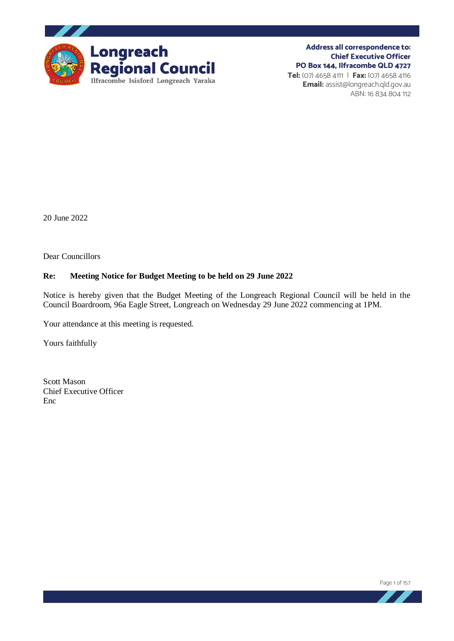

**Address all correspondence to: Chief Executive Officer PO Box 144, Ilfracombe QLD 4727 Tel:** (07) 4658 4111 | **Fax:** (07) 4658 4116 **Email:** assist@longreach.qld.gov.au ABN: 16 834 804 112

20 June 2022

Dear Councillors

#### **Re: Meeting Notice for Budget Meeting to be held on 29 June 2022**

Notice is hereby given that the Budget Meeting of the Longreach Regional Council will be held in the Council Boardroom, 96a Eagle Street, Longreach on Wednesday 29 June 2022 commencing at 1PM.

Your attendance at this meeting is requested.

Yours faithfully

Scott Mason Chief Executive Officer Enc

Page 1 of 157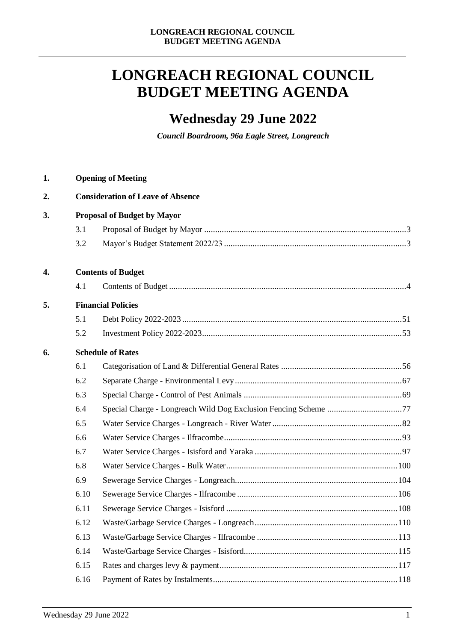# **LONGREACH REGIONAL COUNCIL BUDGET MEETING AGENDA**

## **Wednesday 29 June 2022**

*Council Boardroom, 96a Eagle Street, Longreach* 

| 1. | <b>Opening of Meeting</b>          |                                          |  |  |
|----|------------------------------------|------------------------------------------|--|--|
| 2. |                                    | <b>Consideration of Leave of Absence</b> |  |  |
| 3. | <b>Proposal of Budget by Mayor</b> |                                          |  |  |
|    | 3.1                                |                                          |  |  |
|    | 3.2                                |                                          |  |  |
| 4. | <b>Contents of Budget</b>          |                                          |  |  |
|    | 4.1                                |                                          |  |  |
| 5. | <b>Financial Policies</b>          |                                          |  |  |
|    | 5.1                                |                                          |  |  |
|    | 5.2                                |                                          |  |  |
| 6. |                                    | <b>Schedule of Rates</b>                 |  |  |
|    | 6.1                                |                                          |  |  |
|    | 6.2                                |                                          |  |  |
|    | 6.3                                |                                          |  |  |
|    | 6.4                                |                                          |  |  |
|    | 6.5                                |                                          |  |  |
|    | 6.6                                |                                          |  |  |
|    | 6.7                                |                                          |  |  |
|    | 6.8                                |                                          |  |  |
|    | 6.9                                |                                          |  |  |
|    | 6.10                               |                                          |  |  |
|    | 6.11                               |                                          |  |  |
|    | 6.12                               |                                          |  |  |
|    | 6.13                               |                                          |  |  |
|    | 6.14                               |                                          |  |  |
|    | 6.15                               |                                          |  |  |
|    | 6.16                               |                                          |  |  |
|    |                                    |                                          |  |  |